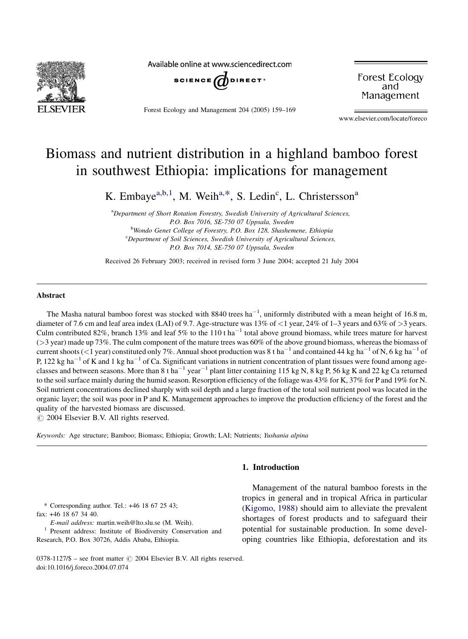

Available online at www.sciencedirect.com



Forest Ecology and Management 204 (2005) 159–169

Forest Ecology and Management

www.elsevier.com/locate/foreco

# Biomass and nutrient distribution in a highland bamboo forest in southwest Ethiopia: implications for management

K. Embaye<sup>a,b,1</sup>, M. Weih<sup>a,\*</sup>, S. Ledin<sup>c</sup>, L. Christersson<sup>a</sup>

<sup>a</sup>Department of Short Rotation Forestry, Swedish University of Agricultural Sciences, P.O. Box 7016, SE-750 07 Uppsala, Sweden <sup>b</sup>Wondo Genet College of Forestry, P.O. Box 128, Shashemene, Ethiopia <sup>c</sup>Department of Soil Sciences, Swedish University of Agricultural Sciences, P.O. Box 7014, SE-750 07 Uppsala, Sweden

Received 26 February 2003; received in revised form 3 June 2004; accepted 21 July 2004

# Abstract

The Masha natural bamboo forest was stocked with 8840 trees ha<sup>-1</sup>, uniformly distributed with a mean height of 16.8 m, diameter of 7.6 cm and leaf area index (LAI) of 9.7. Age-structure was 13% of <1 year, 24% of 1–3 years and 63% of >3 years. Culm contributed 82%, branch 13% and leaf 5% to the 110 t ha<sup>-1</sup> total above ground biomass, while trees mature for harvest  $($ >3 year) made up 73%. The culm component of the mature trees was 60% of the above ground biomass, whereas the biomass of current shoots (<1 year) constituted only 7%. Annual shoot production was 8 t ha<sup>-1</sup> and contained 44 kg ha<sup>-1</sup> of N, 6 kg ha<sup>-1</sup> of P, 122 kg ha<sup>-1</sup> of K and 1 kg ha<sup>-1</sup> of Ca. Significant variations in nutrient concentration of plant tissues were found among ageclasses and between seasons. More than 8 t ha<sup>-1</sup> year<sup>-1</sup> plant litter containing 115 kg N, 8 kg P, 56 kg K and 22 kg Ca returned to the soil surface mainly during the humid season. Resorption efficiency of the foliage was 43% for K, 37% for P and 19% for N. Soil nutrient concentrations declined sharply with soil depth and a large fraction of the total soil nutrient pool was located in the organic layer; the soil was poor in P and K. Management approaches to improve the production efficiency of the forest and the quality of the harvested biomass are discussed.

 $\odot$  2004 Elsevier B.V. All rights reserved.

Keywords: Age structure; Bamboo; Biomass; Ethiopia; Growth; LAI; Nutrients; Yushania alpina

1. Introduction

\* Corresponding author. Tel.: +46 18 67 25 43; fax: +46 18 67 34 40.

 $E\text{-}mail address: matrix, weib@ltoslu.se (M. Weih).$ <sup>1</sup> Present address: Institute of Biodiversity Conservation and Research, P.O. Box 30726, Addis Ababa, Ethiopia.

Management of the natural bamboo forests in the tropics in general and in tropical Africa in particular ([Kigomo, 1988](#page-9-0)) should aim to alleviate the prevalent shortages of forest products and to safeguard their potential for sustainable production. In some developing countries like Ethiopia, deforestation and its

0378-1127/\$ – see front matter © 2004 Elsevier B.V. All rights reserved. doi:10.1016/j.foreco.2004.07.074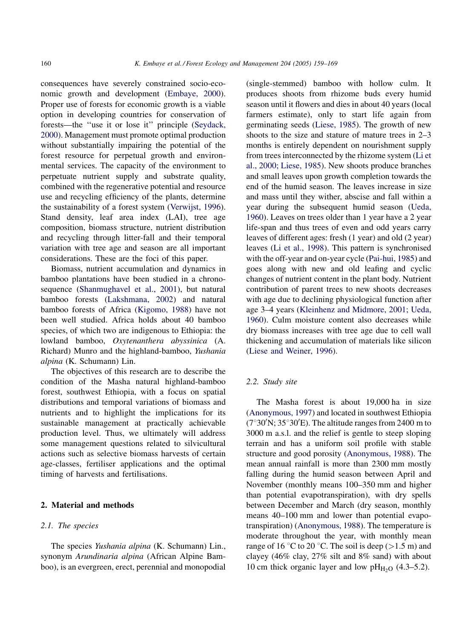consequences have severely constrained socio-economic growth and development [\(Embaye, 2000\)](#page-9-0). Proper use of forests for economic growth is a viable option in developing countries for conservation of forests—the ''use it or lose it'' principle [\(Seydack,](#page-9-0) [2000](#page-9-0)). Management must promote optimal production without substantially impairing the potential of the forest resource for perpetual growth and environmental services. The capacity of the environment to perpetuate nutrient supply and substrate quality, combined with the regenerative potential and resource use and recycling efficiency of the plants, determine the sustainability of a forest system ([Verwijst, 1996\)](#page-9-0). Stand density, leaf area index (LAI), tree age composition, biomass structure, nutrient distribution and recycling through litter-fall and their temporal variation with tree age and season are all important considerations. These are the foci of this paper.

Biomass, nutrient accumulation and dynamics in bamboo plantations have been studied in a chronosequence [\(Shanmughavel et al., 2001](#page-9-0)), but natural bamboo forests [\(Lakshmana, 2002](#page-9-0)) and natural bamboo forests of Africa [\(Kigomo, 1988](#page-9-0)) have not been well studied. Africa holds about 40 bamboo species, of which two are indigenous to Ethiopia: the lowland bamboo, Oxytenanthera abyssinica (A. Richard) Munro and the highland-bamboo, Yushania alpina (K. Schumann) Lin.

The objectives of this research are to describe the condition of the Masha natural highland-bamboo forest, southwest Ethiopia, with a focus on spatial distributions and temporal variations of biomass and nutrients and to highlight the implications for its sustainable management at practically achievable production level. Thus, we ultimately will address some management questions related to silvicultural actions such as selective biomass harvests of certain age-classes, fertiliser applications and the optimal timing of harvests and fertilisations.

# 2. Material and methods

### 2.1. The species

The species Yushania alpina (K. Schumann) Lin., synonym Arundinaria alpina (African Alpine Bamboo), is an evergreen, erect, perennial and monopodial (single-stemmed) bamboo with hollow culm. It produces shoots from rhizome buds every humid season until it flowers and dies in about 40 years (local farmers estimate), only to start life again from germinating seeds ([Liese, 1985](#page-9-0)). The growth of new shoots to the size and stature of mature trees in 2–3 months is entirely dependent on nourishment supply from trees interconnected by the rhizome system ([Li et](#page-9-0) [al., 2000; Liese, 1985\)](#page-9-0). New shoots produce branches and small leaves upon growth completion towards the end of the humid season. The leaves increase in size and mass until they wither, abscise and fall within a year during the subsequent humid season [\(Ueda,](#page-9-0) [1960](#page-9-0)). Leaves on trees older than 1 year have a 2 year life-span and thus trees of even and odd years carry leaves of different ages: fresh (1 year) and old (2 year) leaves [\(Li et al., 1998](#page-9-0)). This pattern is synchronised with the off-year and on-year cycle [\(Pai-hui, 1985](#page-9-0)) and goes along with new and old leafing and cyclic changes of nutrient content in the plant body. Nutrient contribution of parent trees to new shoots decreases with age due to declining physiological function after age 3–4 years [\(Kleinhenz and Midmore, 2001; Ueda,](#page-9-0) [1960](#page-9-0)). Culm moisture content also decreases while dry biomass increases with tree age due to cell wall thickening and accumulation of materials like silicon ([Liese and Weiner, 1996\)](#page-9-0).

#### 2.2. Study site

The Masha forest is about 19,000 ha in size ([Anonymous, 1997\)](#page-8-0) and located in southwest Ethiopia  $(7°30'N; 35°30'E)$ . The altitude ranges from 2400 m to 3000 m a.s.l. and the relief is gentle to steep sloping terrain and has a uniform soil profile with stable structure and good porosity [\(Anonymous, 1988](#page-8-0)). The mean annual rainfall is more than 2300 mm mostly falling during the humid season between April and November (monthly means 100–350 mm and higher than potential evapotranspiration), with dry spells between December and March (dry season, monthly means 40–100 mm and lower than potential evapotranspiration) ([Anonymous, 1988](#page-8-0)). The temperature is moderate throughout the year, with monthly mean range of 16  $\degree$ C to 20  $\degree$ C. The soil is deep (>1.5 m) and clayey (46% clay, 27% silt and 8% sand) with about 10 cm thick organic layer and low  $pH_{H_2O}$  (4.3–5.2).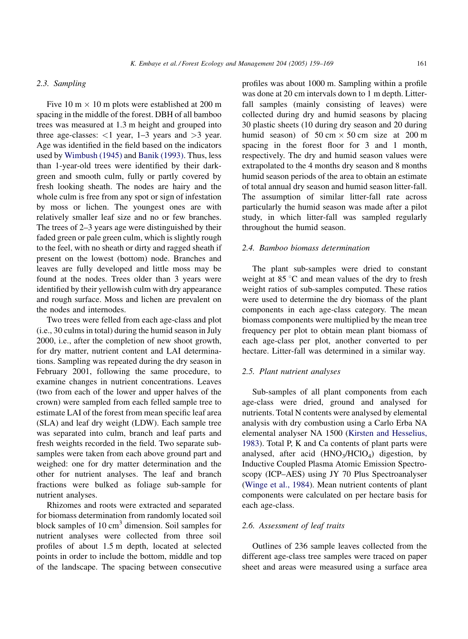# 2.3. Sampling

Five 10 m  $\times$  10 m plots were established at 200 m spacing in the middle of the forest. DBH of all bamboo trees was measured at 1.3 m height and grouped into three age-classes:  $<$ 1 year, 1–3 years and  $>$ 3 year. Age was identified in the field based on the indicators used by [Wimbush \(1945\)](#page-9-0) and [Banik \(1993\).](#page-8-0) Thus, less than 1-year-old trees were identified by their darkgreen and smooth culm, fully or partly covered by fresh looking sheath. The nodes are hairy and the whole culm is free from any spot or sign of infestation by moss or lichen. The youngest ones are with relatively smaller leaf size and no or few branches. The trees of 2–3 years age were distinguished by their faded green or pale green culm, which is slightly rough to the feel, with no sheath or dirty and ragged sheath if present on the lowest (bottom) node. Branches and leaves are fully developed and little moss may be found at the nodes. Trees older than 3 years were identified by their yellowish culm with dry appearance and rough surface. Moss and lichen are prevalent on the nodes and internodes.

Two trees were felled from each age-class and plot (i.e., 30 culms in total) during the humid season in July 2000, i.e., after the completion of new shoot growth, for dry matter, nutrient content and LAI determinations. Sampling was repeated during the dry season in February 2001, following the same procedure, to examine changes in nutrient concentrations. Leaves (two from each of the lower and upper halves of the crown) were sampled from each felled sample tree to estimate LAI of the forest from mean specific leaf area (SLA) and leaf dry weight (LDW). Each sample tree was separated into culm, branch and leaf parts and fresh weights recorded in the field. Two separate subsamples were taken from each above ground part and weighed: one for dry matter determination and the other for nutrient analyses. The leaf and branch fractions were bulked as foliage sub-sample for nutrient analyses.

Rhizomes and roots were extracted and separated for biomass determination from randomly located soil block samples of  $10 \text{ cm}^3$  dimension. Soil samples for nutrient analyses were collected from three soil profiles of about 1.5 m depth, located at selected points in order to include the bottom, middle and top of the landscape. The spacing between consecutive profiles was about 1000 m. Sampling within a profile was done at 20 cm intervals down to 1 m depth. Litterfall samples (mainly consisting of leaves) were collected during dry and humid seasons by placing 30 plastic sheets (10 during dry season and 20 during humid season) of  $50 \text{ cm} \times 50 \text{ cm}$  size at  $200 \text{ m}$ spacing in the forest floor for 3 and 1 month, respectively. The dry and humid season values were extrapolated to the 4 months dry season and 8 months humid season periods of the area to obtain an estimate of total annual dry season and humid season litter-fall. The assumption of similar litter-fall rate across particularly the humid season was made after a pilot study, in which litter-fall was sampled regularly throughout the humid season.

# 2.4. Bamboo biomass determination

The plant sub-samples were dried to constant weight at  $85^{\circ}$ C and mean values of the dry to fresh weight ratios of sub-samples computed. These ratios were used to determine the dry biomass of the plant components in each age-class category. The mean biomass components were multiplied by the mean tree frequency per plot to obtain mean plant biomass of each age-class per plot, another converted to per hectare. Litter-fall was determined in a similar way.

# 2.5. Plant nutrient analyses

Sub-samples of all plant components from each age-class were dried, ground and analysed for nutrients. Total N contents were analysed by elemental analysis with dry combustion using a Carlo Erba NA elemental analyser NA 1500 [\(Kirsten and Hesselius,](#page-9-0) [1983\)](#page-9-0). Total P, K and Ca contents of plant parts were analysed, after acid  $(HNO<sub>3</sub>/HClO<sub>4</sub>)$  digestion, by Inductive Coupled Plasma Atomic Emission Spectroscopy (ICP–AES) using JY 70 Plus Spectroanalyser ([Winge et al., 1984](#page-10-0)). Mean nutrient contents of plant components were calculated on per hectare basis for each age-class.

### 2.6. Assessment of leaf traits

Outlines of 236 sample leaves collected from the different age-class tree samples were traced on paper sheet and areas were measured using a surface area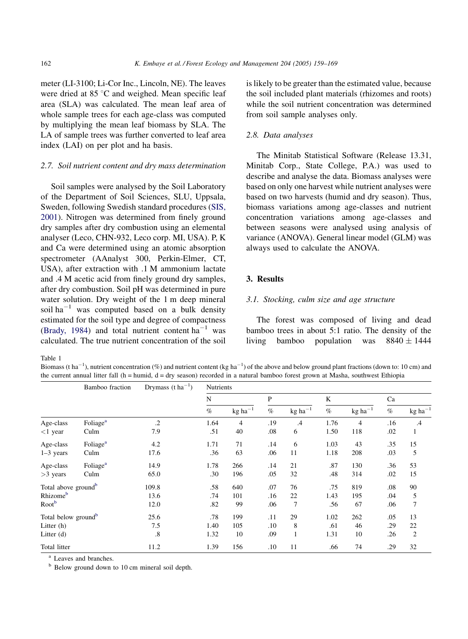<span id="page-3-0"></span>meter (LI-3100; Li-Cor Inc., Lincoln, NE). The leaves were dried at  $85^{\circ}$ C and weighed. Mean specific leaf area (SLA) was calculated. The mean leaf area of whole sample trees for each age-class was computed by multiplying the mean leaf biomass by SLA. The LA of sample trees was further converted to leaf area index (LAI) on per plot and ha basis.

### 2.7. Soil nutrient content and dry mass determination

Soil samples were analysed by the Soil Laboratory of the Department of Soil Sciences, SLU, Uppsala, Sweden, following Swedish standard procedures ([SIS,](#page-9-0) [2001](#page-9-0)). Nitrogen was determined from finely ground dry samples after dry combustion using an elemental analyser (Leco, CHN-932, Leco corp. MI, USA). P, K and Ca were determined using an atomic absorption spectrometer (AAnalyst 300, Perkin-Elmer, CT, USA), after extraction with .1 M ammonium lactate and .4 M acetic acid from finely ground dry samples, after dry combustion. Soil pH was determined in pure water solution. Dry weight of the 1 m deep mineral soil ha<sup>-1</sup> was computed based on a bulk density estimated for the soil type and degree of compactness ([Brady, 1984](#page-8-0)) and total nutrient content  $ha^{-1}$  was calculated. The true nutrient concentration of the soil is likely to be greater than the estimated value, because the soil included plant materials (rhizomes and roots) while the soil nutrient concentration was determined from soil sample analyses only.

# 2.8. Data analyses

The Minitab Statistical Software (Release 13.31, Minitab Corp., State College, P.A.) was used to describe and analyse the data. Biomass analyses were based on only one harvest while nutrient analyses were based on two harvests (humid and dry season). Thus, biomass variations among age-classes and nutrient concentration variations among age-classes and between seasons were analysed using analysis of variance (ANOVA). General linear model (GLM) was always used to calculate the ANOVA.

# 3. Results

# 3.1. Stocking, culm size and age structure

The forest was composed of living and dead bamboo trees in about 5:1 ratio. The density of the living bamboo population was  $8840 \pm 1444$ 

Table 1

Biomass (t ha<sup>-1</sup>), nutrient concentration (%) and nutrient content (kg ha<sup>-1</sup>) of the above and below ground plant fractions (down to: 10 cm) and the current annual litter fall (h = humid, d = dry season) recorded in a natural bamboo forest grown at Masha, southwest Ethiopia

|                                 | Bamboo fraction      | Drymass $(t \, ha^{-1})$ | Nutrients |                       |     |                                    |      |                                    |      |                              |  |
|---------------------------------|----------------------|--------------------------|-----------|-----------------------|-----|------------------------------------|------|------------------------------------|------|------------------------------|--|
|                                 |                      |                          | N         |                       | P   |                                    | K    |                                    | Ca   |                              |  |
|                                 |                      |                          | $\%$      | $kg$ ha <sup>-1</sup> | %   | $kg$ ha <sup><math>-1</math></sup> | $\%$ | $kg$ ha <sup><math>-1</math></sup> | $\%$ | $\text{kg} \ \text{ha}^{-1}$ |  |
| Age-class                       | Foliage <sup>a</sup> | $\cdot$                  | 1.64      | 4                     | .19 | .4                                 | 1.76 | $\overline{4}$                     | .16  | $\cdot$ 4                    |  |
| $<$ 1 year                      | Culm                 | 7.9                      | .51       | 40                    | .08 | 6                                  | 1.50 | 118                                | .02  | 1                            |  |
| Age-class                       | Foliage <sup>a</sup> | 4.2                      | 1.71      | 71                    | .14 | 6                                  | 1.03 | 43                                 | .35  | 15                           |  |
| $1-3$ years                     | Culm                 | 17.6                     | .36       | 63                    | .06 | 11                                 | 1.18 | 208                                | .03  | 5                            |  |
| Age-class                       | Foliage <sup>a</sup> | 14.9                     | 1.78      | 266                   | .14 | 21                                 | .87  | 130                                | .36  | 53                           |  |
| $>3$ years                      | Culm                 | 65.0                     | .30       | 196                   | .05 | 32                                 | .48  | 314                                | .02  | 15                           |  |
| Total above ground <sup>b</sup> |                      | 109.8                    | .58       | 640                   | .07 | 76                                 | .75  | 819                                | .08  | 90                           |  |
| Rhizome <sup>b</sup>            |                      | 13.6                     | .74       | 101                   | .16 | 22                                 | 1.43 | 195                                | .04  | 5                            |  |
| Root <sup>b</sup>               |                      | 12.0                     | .82       | 99                    | .06 | 7                                  | .56  | 67                                 | .06  | 7                            |  |
| Total below ground <sup>b</sup> |                      | 25.6                     | .78       | 199                   | .11 | 29                                 | 1.02 | 262                                | .05  | 13                           |  |
| Litter $(h)$                    |                      | 7.5                      | 1.40      | 105                   | .10 | 8                                  | .61  | 46                                 | .29  | 22                           |  |
| Litter $(d)$                    |                      | .8                       | 1.32      | 10                    | .09 | 1                                  | 1.31 | 10                                 | .26  | 2                            |  |
| Total litter                    |                      | 11.2                     | 1.39      | 156                   | .10 | 11                                 | .66  | 74                                 | .29  | 32                           |  |

<sup>a</sup> Leaves and branches.

 $<sup>b</sup>$  Below ground down to 10 cm mineral soil depth.</sup>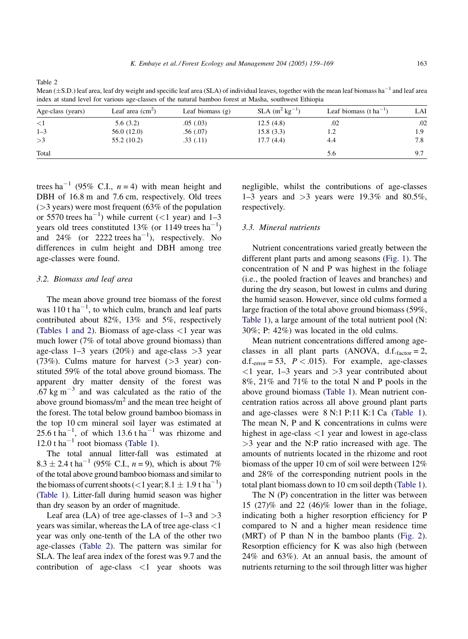Table 2

Mean ( $\pm$ S.D.) leaf area, leaf dry weight and specific leaf area (SLA) of individual leaves, together with the mean leaf biomass ha<sup>-1</sup> and leaf area index at stand level for various age-classes of the natural bamboo forest at Masha, southwest Ethiopia

| Age-class (years) | Leaf area $\text{(cm}^2\text{)}$ | Leaf biomass $(g)$ | $SLA$ (m <sup>2</sup> kg <sup>-1</sup> ) | Leaf biomass (t ha <sup>-1</sup> ) | LAI |  |
|-------------------|----------------------------------|--------------------|------------------------------------------|------------------------------------|-----|--|
| $\leq$ 1          | 5.6(3.2)                         | .05(.03)           | 12.5(4.8)                                | .02                                | .02 |  |
| $1 - 3$           | 56.0 (12.0)                      | .56(.07)           | 15.8(3.3)                                | 1.2                                | 1.9 |  |
| >3                | 55.2(10.2)                       | .33(.11)           | 17.7(4.4)                                | 4.4                                | 7.8 |  |
| Total             |                                  |                    |                                          | 5.6                                | 9.7 |  |

trees ha<sup>-1</sup> (95% C.I.,  $n = 4$ ) with mean height and DBH of  $16.8$  m and  $7.6$  cm, respectively. Old trees  $($ >3 years) were most frequent (63% of the population or 5570 trees  $ha^{-1}$ ) while current (<1 year) and 1-3 years old trees constituted 13% (or 1149 trees  $ha^{-1}$ ) and 24% (or 2222 trees  $ha^{-1}$ ), respectively. No differences in culm height and DBH among tree age-classes were found.

# 3.2. Biomass and leaf area

The mean above ground tree biomass of the forest was  $110$  t ha<sup>-1</sup>, to which culm, branch and leaf parts contributed about 82%, 13% and 5%, respectively ([Tables 1 and 2\)](#page-3-0). Biomass of age-class <1 year was much lower (7% of total above ground biomass) than age-class 1–3 years (20%) and age-class  $>3$  year (73%). Culms mature for harvest  $(>3$  year) constituted 59% of the total above ground biomass. The apparent dry matter density of the forest was  $.67 \text{ kg m}^{-3}$  and was calculated as the ratio of the above ground biomass/ $m<sup>2</sup>$  and the mean tree height of the forest. The total below ground bamboo biomass in the top 10 cm mineral soil layer was estimated at 25.6 t ha<sup>-1</sup>, of which 13.6 t ha<sup>-1</sup> was rhizome and 12.0 t ha<sup> $-1$ </sup> root biomass ([Table 1](#page-3-0)).

The total annual litter-fall was estimated at  $8.3 \pm 2.4$  t ha<sup>-1</sup> (95% C.I.,  $n = 9$ ), which is about 7% of the total above ground bamboo biomass and similar to the biomass of current shoots (<1 year;  $8.1 \pm 1.9$  t ha<sup>-1</sup>) ([Table 1\)](#page-3-0). Litter-fall during humid season was higher than dry season by an order of magnitude.

Leaf area (LA) of tree age-classes of  $1-3$  and  $>3$ years was similar, whereas the LA of tree age-class <1 year was only one-tenth of the LA of the other two age-classes (Table 2). The pattern was similar for SLA. The leaf area index of the forest was 9.7 and the contribution of age-class <1 year shoots was

negligible, whilst the contributions of age-classes 1–3 years and  $>3$  years were 19.3% and 80.5%, respectively.

# 3.3. Mineral nutrients

Nutrient concentrations varied greatly between the different plant parts and among seasons ([Fig. 1](#page-5-0)). The concentration of N and P was highest in the foliage (i.e., the pooled fraction of leaves and branches) and during the dry season, but lowest in culms and during the humid season. However, since old culms formed a large fraction of the total above ground biomass (59%, [Table 1](#page-3-0)), a large amount of the total nutrient pool (N: 30%; P: 42%) was located in the old culms.

Mean nutrient concentrations differed among ageclasses in all plant parts (ANOVA,  $d.f.f_{factor} = 2$ , d.f. $_{\text{error}}$  = 53,  $P < .015$ ). For example, age-classes  $\langle 1 \rangle$  year, 1–3 years and  $\langle 3 \rangle$  year contributed about 8%, 21% and 71% to the total N and P pools in the above ground biomass [\(Table 1\)](#page-3-0). Mean nutrient concentration ratios across all above ground plant parts and age-classes were 8 N:1 P:11 K:1 Ca ([Table 1](#page-3-0)). The mean N, P and K concentrations in culms were highest in age-class <1 year and lowest in age-class >3 year and the N:P ratio increased with age. The amounts of nutrients located in the rhizome and root biomass of the upper 10 cm of soil were between 12% and 28% of the corresponding nutrient pools in the total plant biomass down to 10 cm soil depth ([Table 1](#page-3-0)).

The N (P) concentration in the litter was between 15 (27)% and 22 (46)% lower than in the foliage, indicating both a higher resorption efficiency for P compared to N and a higher mean residence time (MRT) of P than N in the bamboo plants ([Fig. 2](#page-6-0)). Resorption efficiency for K was also high (between 24% and 63%). At an annual basis, the amount of nutrients returning to the soil through litter was higher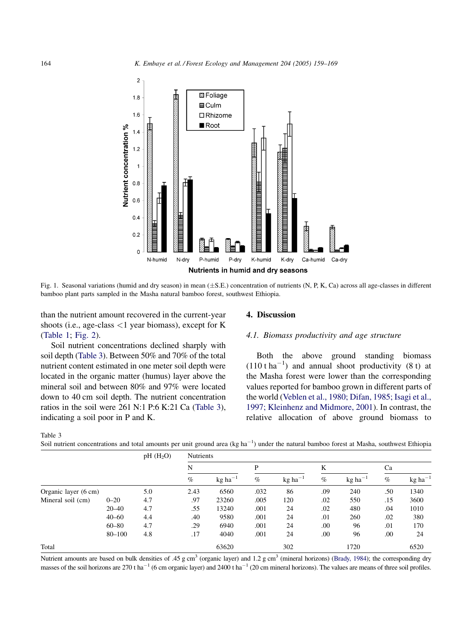<span id="page-5-0"></span>

Fig. 1. Seasonal variations (humid and dry season) in mean  $(\pm S.E.)$  concentration of nutrients (N, P, K, Ca) across all age-classes in different bamboo plant parts sampled in the Masha natural bamboo forest, southwest Ethiopia.

than the nutrient amount recovered in the current-year shoots (i.e., age-class <1 year biomass), except for K ([Table 1](#page-3-0); [Fig. 2](#page-6-0)).

Soil nutrient concentrations declined sharply with soil depth (Table 3). Between 50% and 70% of the total nutrient content estimated in one meter soil depth were located in the organic matter (humus) layer above the mineral soil and between 80% and 97% were located down to 40 cm soil depth. The nutrient concentration ratios in the soil were 261 N:1 P:6 K:21 Ca (Table 3), indicating a soil poor in P and K.

#### 4. Discussion

# 4.1. Biomass productivity and age structure

Both the above ground standing biomass  $(110 \text{ tha}^{-1})$  and annual shoot productivity (8 t) at the Masha forest were lower than the corresponding values reported for bamboo grown in different parts of the world [\(Veblen et al., 1980; Difan, 1985; Isagi et al.,](#page-9-0) [1997; Kleinhenz and Midmore, 2001](#page-9-0)). In contrast, the relative allocation of above ground biomass to

Table 3

Soil nutrient concentrations and total amounts per unit ground area (kg ha<sup>-1</sup>) under the natural bamboo forest at Masha, southwest Ethiopia

|                      |           | $pH$ (H <sub>2</sub> O) | <b>Nutrients</b> |                                    |      |                                    |      |                       |      |                 |  |
|----------------------|-----------|-------------------------|------------------|------------------------------------|------|------------------------------------|------|-----------------------|------|-----------------|--|
|                      |           |                         | N                |                                    | P    |                                    | K    |                       | Ca   |                 |  |
|                      |           |                         | $\%$             | $kg$ ha <sup><math>-1</math></sup> | $\%$ | $kg$ ha <sup><math>-1</math></sup> | $\%$ | $kg$ ha <sup>-1</sup> | $\%$ | $kg$ ha $^{-1}$ |  |
| Organic layer (6 cm) |           | 5.0                     | 2.43             | 6560                               | .032 | 86                                 | .09  | 240                   | .50  | 1340            |  |
| Mineral soil (cm)    | $0 - 20$  | 4.7                     | .97              | 23260                              | .005 | 120                                | .02  | 550                   | .15  | 3600            |  |
|                      | $20 - 40$ | 4.7                     | .55              | 13240                              | .001 | 24                                 | .02  | 480                   | .04  | 1010            |  |
|                      | $40 - 60$ | 4.4                     | .40              | 9580                               | .001 | 24                                 | .01  | 260                   | .02  | 380             |  |
|                      | $60 - 80$ | 4.7                     | .29              | 6940                               | .001 | 24                                 | .00  | 96                    | .01  | 170             |  |
|                      | 80-100    | 4.8                     | .17              | 4040                               | .001 | 24                                 | .00  | 96                    | .00  | 24              |  |
| Total                |           |                         |                  | 63620                              |      | 302                                |      | 1720                  |      | 6520            |  |

Nutrient amounts are based on bulk densities of .45 g cm<sup>3</sup> (organic layer) and 1.2 g cm<sup>3</sup> (mineral horizons) [\(Brady, 1984](#page-8-0)); the corresponding dry masses of the soil horizons are 270 t ha<sup>-1</sup> (6 cm organic layer) and 2400 t ha<sup>-1</sup> (20 cm mineral horizons). The values are means of three soil profiles.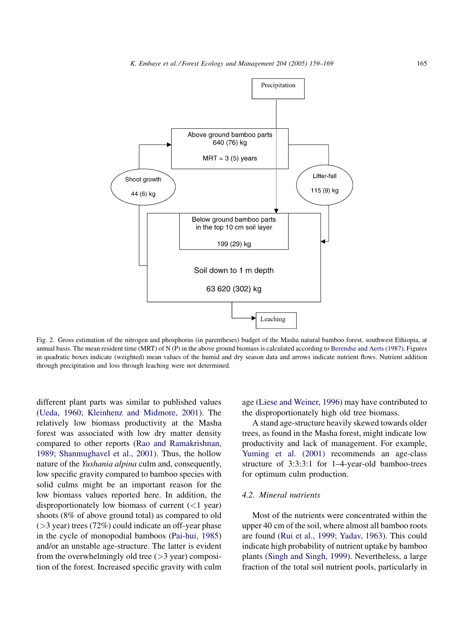<span id="page-6-0"></span>

Fig. 2. Gross estimation of the nitrogen and phosphorus (in parentheses) budget of the Masha natural bamboo forest, southwest Ethiopia, at annual basis. The mean resident time (MRT) of N (P) in the above ground biomass is calculated according to [Berendse and Aerts \(1987\)](#page-8-0). Figures in quadratic boxes indicate (weighted) mean values of the humid and dry season data and arrows indicate nutrient flows. Nutrient addition through precipitation and loss through leaching were not determined.

different plant parts was similar to published values ([Ueda, 1960; Kleinhenz and Midmore, 2001](#page-9-0)). The relatively low biomass productivity at the Masha forest was associated with low dry matter density compared to other reports [\(Rao and Ramakrishnan,](#page-9-0) [1989; Shanmughavel et al., 2001\)](#page-9-0). Thus, the hollow nature of the Yushania alpina culm and, consequently, low specific gravity compared to bamboo species with solid culms might be an important reason for the low biomass values reported here. In addition, the disproportionately low biomass of current  $(<1$  year) shoots (8% of above ground total) as compared to old  $($ >3 year) trees (72%) could indicate an off-year phase in the cycle of monopodial bamboos ([Pai-hui, 1985](#page-9-0)) and/or an unstable age-structure. The latter is evident from the overwhelmingly old tree  $($ >3 year) composition of the forest. Increased specific gravity with culm age [\(Liese and Weiner, 1996](#page-9-0)) may have contributed to the disproportionately high old tree biomass.

A stand age-structure heavily skewed towards older trees, as found in the Masha forest, might indicate low productivity and lack of management. For example, [Yuming et al. \(2001\)](#page-10-0) recommends an age-class structure of 3:3:3:1 for 1–4-year-old bamboo-trees for optimum culm production.

### 4.2. Mineral nutrients

Most of the nutrients were concentrated within the upper 40 cm of the soil, where almost all bamboo roots are found [\(Rui et al., 1999; Yadav, 1963\)](#page-9-0). This could indicate high probability of nutrient uptake by bamboo plants ([Singh and Singh, 1999\)](#page-9-0). Nevertheless, a large fraction of the total soil nutrient pools, particularly in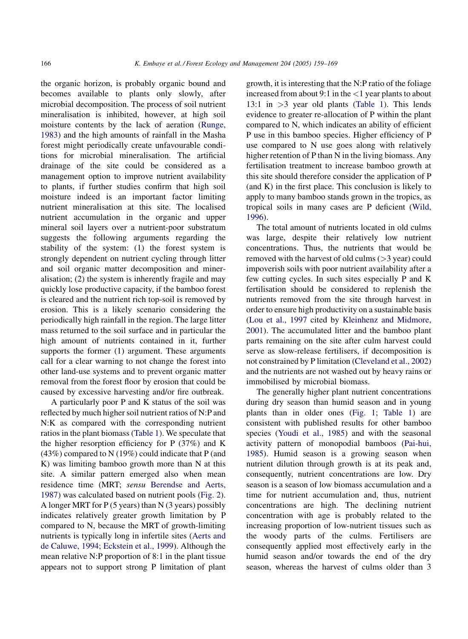the organic horizon, is probably organic bound and becomes available to plants only slowly, after microbial decomposition. The process of soil nutrient mineralisation is inhibited, however, at high soil moisture contents by the lack of aeration ([Runge,](#page-9-0) [1983](#page-9-0)) and the high amounts of rainfall in the Masha forest might periodically create unfavourable conditions for microbial mineralisation. The artificial drainage of the site could be considered as a management option to improve nutrient availability to plants, if further studies confirm that high soil moisture indeed is an important factor limiting nutrient mineralisation at this site. The localised nutrient accumulation in the organic and upper mineral soil layers over a nutrient-poor substratum suggests the following arguments regarding the stability of the system: (1) the forest system is strongly dependent on nutrient cycling through litter and soil organic matter decomposition and mineralisation; (2) the system is inherently fragile and may quickly lose productive capacity, if the bamboo forest is cleared and the nutrient rich top-soil is removed by erosion. This is a likely scenario considering the periodically high rainfall in the region. The large litter mass returned to the soil surface and in particular the high amount of nutrients contained in it, further supports the former (1) argument. These arguments call for a clear warning to not change the forest into other land-use systems and to prevent organic matter removal from the forest floor by erosion that could be caused by excessive harvesting and/or fire outbreak.

A particularly poor P and K status of the soil was reflected by much higher soil nutrient ratios of N:P and N:K as compared with the corresponding nutrient ratios in the plant biomass ([Table 1](#page-3-0)). We speculate that the higher resorption efficiency for P (37%) and K (43%) compared to N (19%) could indicate that P (and K) was limiting bamboo growth more than N at this site. A similar pattern emerged also when mean residence time (MRT; sensu [Berendse and Aerts,](#page-8-0) [1987](#page-8-0)) was calculated based on nutrient pools [\(Fig. 2\)](#page-6-0). A longer MRT for P (5 years) than N (3 years) possibly indicates relatively greater growth limitation by P compared to N, because the MRT of growth-limiting nutrients is typically long in infertile sites ([Aerts and](#page-8-0) [de Caluwe, 1994; Eckstein et al., 1999\)](#page-8-0). Although the mean relative N:P proportion of 8:1 in the plant tissue appears not to support strong P limitation of plant growth, it is interesting that the N:P ratio of the foliage increased from about 9:1 in the  $\langle 1 \rangle$  year plants to about 13:1 in  $>3$  year old plants ([Table 1](#page-3-0)). This lends evidence to greater re-allocation of P within the plant compared to N, which indicates an ability of efficient P use in this bamboo species. Higher efficiency of P use compared to N use goes along with relatively higher retention of P than N in the living biomass. Any fertilisation treatment to increase bamboo growth at this site should therefore consider the application of P (and K) in the first place. This conclusion is likely to apply to many bamboo stands grown in the tropics, as tropical soils in many cases are P deficient [\(Wild,](#page-9-0) [1996](#page-9-0)).

The total amount of nutrients located in old culms was large, despite their relatively low nutrient concentrations. Thus, the nutrients that would be removed with the harvest of old culms (>3 year) could impoverish soils with poor nutrient availability after a few cutting cycles. In such sites especially P and K fertilisation should be considered to replenish the nutrients removed from the site through harvest in order to ensure high productivity on a sustainable basis ([Lou et al., 1997](#page-9-0) cited by [Kleinhenz and Midmore,](#page-9-0) [2001](#page-9-0)). The accumulated litter and the bamboo plant parts remaining on the site after culm harvest could serve as slow-release fertilisers, if decomposition is not constrained by P limitation ([Cleveland et al., 2002](#page-9-0)) and the nutrients are not washed out by heavy rains or immobilised by microbial biomass.

The generally higher plant nutrient concentrations during dry season than humid season and in young plants than in older ones ([Fig. 1;](#page-5-0) [Table 1\)](#page-3-0) are consistent with published results for other bamboo species [\(Youdi et al., 1985](#page-10-0)) and with the seasonal activity pattern of monopodial bamboos [\(Pai-hui,](#page-9-0) [1985](#page-9-0)). Humid season is a growing season when nutrient dilution through growth is at its peak and, consequently, nutrient concentrations are low. Dry season is a season of low biomass accumulation and a time for nutrient accumulation and, thus, nutrient concentrations are high. The declining nutrient concentration with age is probably related to the increasing proportion of low-nutrient tissues such as the woody parts of the culms. Fertilisers are consequently applied most effectively early in the humid season and/or towards the end of the dry season, whereas the harvest of culms older than 3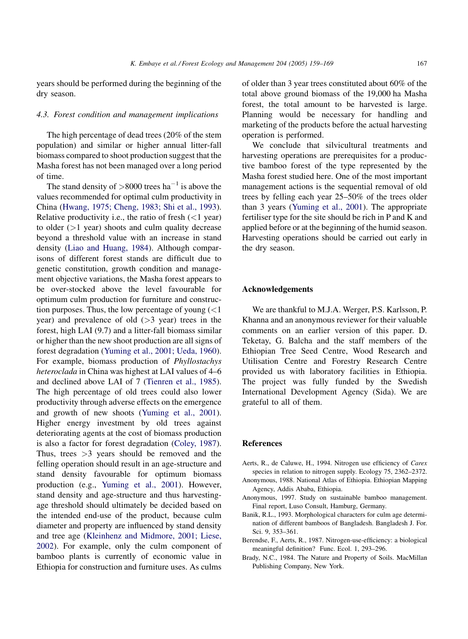<span id="page-8-0"></span>years should be performed during the beginning of the dry season.

# 4.3. Forest condition and management implications

The high percentage of dead trees (20% of the stem population) and similar or higher annual litter-fall biomass compared to shoot production suggest that the Masha forest has not been managed over a long period of time.

The stand density of  $>8000$  trees ha<sup>-1</sup> is above the values recommended for optimal culm productivity in China ([Hwang, 1975; Cheng, 1983; Shi et al., 1993\)](#page-9-0). Relative productivity i.e., the ratio of fresh  $(<1$  year) to older  $(>1$  year) shoots and culm quality decrease beyond a threshold value with an increase in stand density ([Liao and Huang, 1984\)](#page-9-0). Although comparisons of different forest stands are difficult due to genetic constitution, growth condition and management objective variations, the Masha forest appears to be over-stocked above the level favourable for optimum culm production for furniture and construction purposes. Thus, the low percentage of young  $\left($  < 1 year) and prevalence of old  $($ >3 year) trees in the forest, high LAI (9.7) and a litter-fall biomass similar or higher than the new shoot production are all signs of forest degradation [\(Yuming et al., 2001; Ueda, 1960\)](#page-10-0). For example, biomass production of Phyllostachys heteroclada in China was highest at LAI values of 4–6 and declined above LAI of 7 [\(Tienren et al., 1985\)](#page-9-0). The high percentage of old trees could also lower productivity through adverse effects on the emergence and growth of new shoots ([Yuming et al., 2001\)](#page-10-0). Higher energy investment by old trees against deteriorating agents at the cost of biomass production is also a factor for forest degradation ([Coley, 1987\)](#page-9-0). Thus, trees >3 years should be removed and the felling operation should result in an age-structure and stand density favourable for optimum biomass production (e.g., [Yuming et al., 2001\)](#page-10-0). However, stand density and age-structure and thus harvestingage threshold should ultimately be decided based on the intended end-use of the product, because culm diameter and property are influenced by stand density and tree age [\(Kleinhenz and Midmore, 2001; Liese,](#page-9-0) [2002](#page-9-0)). For example, only the culm component of bamboo plants is currently of economic value in Ethiopia for construction and furniture uses. As culms

of older than 3 year trees constituted about 60% of the total above ground biomass of the 19,000 ha Masha forest, the total amount to be harvested is large. Planning would be necessary for handling and marketing of the products before the actual harvesting operation is performed.

We conclude that silvicultural treatments and harvesting operations are prerequisites for a productive bamboo forest of the type represented by the Masha forest studied here. One of the most important management actions is the sequential removal of old trees by felling each year 25–50% of the trees older than 3 years ([Yuming et al., 2001](#page-10-0)). The appropriate fertiliser type for the site should be rich in P and K and applied before or at the beginning of the humid season. Harvesting operations should be carried out early in the dry season.

#### Acknowledgements

We are thankful to M.J.A. Werger, P.S. Karlsson, P. Khanna and an anonymous reviewer for their valuable comments on an earlier version of this paper. D. Teketay, G. Balcha and the staff members of the Ethiopian Tree Seed Centre, Wood Research and Utilisation Centre and Forestry Research Centre provided us with laboratory facilities in Ethiopia. The project was fully funded by the Swedish International Development Agency (Sida). We are grateful to all of them.

# References

- Aerts, R., de Caluwe, H., 1994. Nitrogen use efficiency of Carex species in relation to nitrogen supply. Ecology 75, 2362–2372. Anonymous, 1988. National Atlas of Ethiopia. Ethiopian Mapping
- Agency, Addis Ababa, Ethiopia.
- Anonymous, 1997. Study on sustainable bamboo management. Final report, Luso Consult, Hamburg, Germany.
- Banik, R.L., 1993. Morphological characters for culm age determination of different bamboos of Bangladesh. Bangladesh J. For. Sci. 9, 353–361.
- Berendse, F., Aerts, R., 1987. Nitrogen-use-efficiency: a biological meaningful definition? Func. Ecol. 1, 293–296.
- Brady, N.C., 1984. The Nature and Property of Soils. MacMillan Publishing Company, New York.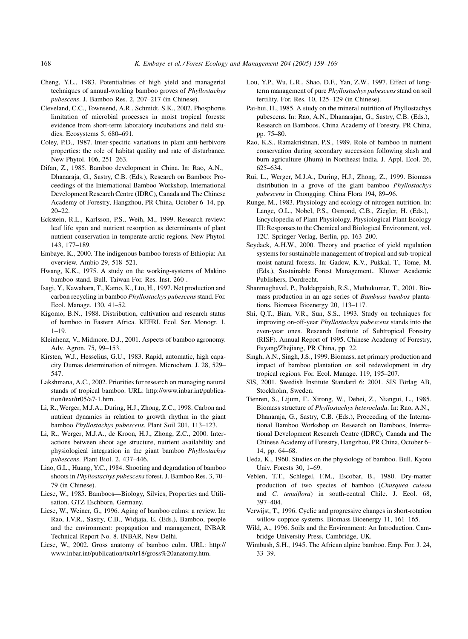- <span id="page-9-0"></span>Cheng, Y.L., 1983. Potentialities of high yield and managerial techniques of annual-working bamboo groves of Phyllostachys pubescens. J. Bamboo Res. 2, 207–217 (in Chinese).
- Cleveland, C.C., Townsend, A.R., Schmidt, S.K., 2002. Phosphorus limitation of microbial processes in moist tropical forests: evidence from short-term laboratory incubations and field studies. Ecosystems 5, 680–691.
- Coley, P.D., 1987. Inter-specific variations in plant anti-herbivore properties: the role of habitat quality and rate of disturbance. New Phytol. 106, 251–263.
- Difan, Z., 1985. Bamboo development in China. In: Rao, A.N., Dhanaraja, G., Sastry, C.B. (Eds.), Research on Bamboo: Proceedings of the International Bamboo Workshop, International Development Research Centre (IDRC), Canada and The Chinese Academy of Forestry, Hangzhou, PR China, October 6–14, pp. 20–22.
- Eckstein, R.L., Karlsson, P.S., Weih, M., 1999. Research review: leaf life span and nutrient resorption as determinants of plant nutrient conservation in temperate-arctic regions. New Phytol. 143, 177–189.
- Embaye, K., 2000. The indigenous bamboo forests of Ethiopia: An overview. Ambio 29, 518–521.
- Hwang, K.K., 1975. A study on the working-systems of Makino bamboo stand. Bull. Taiwan For. Res. Inst. 260 .
- Isagi, Y., Kawahara, T., Kamo, K., Lto, H., 1997. Net production and carbon recycling in bamboo Phyllostachys pubescens stand. For. Ecol. Manage. 130, 41–52.
- Kigomo, B.N., 1988. Distribution, cultivation and research status of bamboo in Eastern Africa. KEFRI. Ecol. Ser. Monogr. 1,  $1 - 19$ .
- Kleinhenz, V., Midmore, D.J., 2001. Aspects of bamboo agronomy. Adv. Agron. 75, 99–153.
- Kirsten, W.J., Hesselius, G.U., 1983. Rapid, automatic, high capacity Dumas determination of nitrogen. Microchem. J. 28, 529– 547.
- Lakshmana, A.C., 2002. Priorities for research on managing natural stands of tropical bamboo. URL: http://www.inbar.int/publication/text/tr05/a7-1.htm.
- Li, R., Werger, M.J.A., During, H.J., Zhong, Z.C., 1998. Carbon and nutrient dynamics in relation to growth rhythm in the giant bamboo Phyllostachys pubescens. Plant Soil 201, 113–123.
- Li, R., Werger, M.J.A., de Kroon, H.J., Zhong, Z.C., 2000. Interactions between shoot age structure, nutrient availability and physiological integration in the giant bamboo Phyllostachys pubescens. Plant Biol. 2, 437–446.
- Liao, G.L., Huang, Y.C., 1984. Shooting and degradation of bamboo shoots in Phyllostachys pubescens forest. J. Bamboo Res. 3, 70– 79 (in Chinese).
- Liese, W., 1985. Bamboos—Biology, Silvics, Properties and Utilisation. GTZ Eschborn, Germany.
- Liese, W., Weiner, G., 1996. Aging of bamboo culms: a review. In: Rao, I.V.R., Sastry, C.B., Widjaja, E. (Eds.), Bamboo, people and the environment: propagation and management, INBAR Technical Report No. 8. INBAR, New Delhi.
- Liese, W., 2002. Gross anatomy of bamboo culm. URL: http:// www.inbar.int/publication/txt/tr18/gross%20anatomy.htm.
- Lou, Y.P., Wu, L.R., Shao, D.F., Yan, Z.W., 1997. Effect of longterm management of pure Phyllostachys pubescens stand on soil fertility. For. Res. 10, 125–129 (in Chinese).
- Pai-hui, H., 1985. A study on the mineral nutrition of Phyllostachys pubescens. In: Rao, A.N., Dhanarajan, G., Sastry, C.B. (Eds.), Research on Bamboos. China Academy of Forestry, PR China, pp. 75–80.
- Rao, K.S., Ramakrishnan, P.S., 1989. Role of bamboo in nutrient conservation during secondary succession following slash and burn agriculture (Jhum) in Northeast India. J. Appl. Ecol. 26, 625–634.
- Rui, L., Werger, M.J.A., During, H.J., Zhong, Z., 1999. Biomass distribution in a grove of the giant bamboo Phyllostachys pubescens in Chongqing. China Flora 194, 89–96.
- Runge, M., 1983. Physiology and ecology of nitrogen nutrition. In: Lange, O.L., Nobel, P.S., Osmond, C.B., Ziegler, H. (Eds.), Encyclopedia of Plant Physiology. Physiological Plant Ecology III: Responses to the Chemical and Biological Environment, vol. 12C. Springer-Verlag, Berlin, pp. 163–200.
- Seydack, A.H.W., 2000. Theory and practice of yield regulation systems for sustainable management of tropical and sub-tropical moist natural forests. In: Gadow, K.V., Pukkal, T., Tome, M. (Eds.), Sustainable Forest Management.. Kluwer Academic Publishers, Dordrecht.
- Shanmughavel, P., Peddappaiah, R.S., Muthukumar, T., 2001. Biomass production in an age series of Bambusa bambos plantations. Biomass Bioenergy 20, 113–117.
- Shi, Q.T., Bian, V.R., Sun, S.S., 1993. Study on techniques for improving on-off-year Phyllostachys pubescens stands into the even-year ones. Research Institute of Subtropical Forestry (RISF). Annual Report of 1995. Chinese Academy of Forestry, Fuyang/Zhejiang, PR China, pp. 22.
- Singh, A.N., Singh, J.S., 1999. Biomass, net primary production and impact of bamboo plantation on soil redevelopment in dry tropical regions. For. Ecol. Manage. 119, 195–207.
- SIS, 2001. Swedish Institute Standard 6: 2001. SIS Förlag AB, Stockholm, Sweden.
- Tienren, S., Lijum, F., Xirong, W., Dehei, Z., Niangui, L., 1985. Biomass structure of Phyllostachys heteroclada. In: Rao, A.N., Dhanaraja, G., Sastry, C.B. (Eds.), Proceeding of the International Bamboo Workshop on Research on Bamboos, International Development Research Centre (IDRC), Canada and The Chinese Academy of Forestry, Hangzhou, PR China, October 6– 14, pp. 64–68.
- Ueda, K., 1960. Studies on the physiology of bamboo. Bull. Kyoto Univ. Forests 30, 1–69.
- Veblen, T.T., Schlegel, F.M., Escobar, B., 1980. Dry-matter production of two species of bamboo (Chusquea culeou and C. tenuiflora) in south-central Chile. J. Ecol. 68, 397–404.
- Verwijst, T., 1996. Cyclic and progressive changes in short-rotation willow coppice systems. Biomass Bioenergy 11, 161–165.
- Wild, A., 1996. Soils and the Environment: An Introduction. Cambridge University Press, Cambridge, UK.
- Wimbush, S.H., 1945. The African alpine bamboo. Emp. For. J. 24, 33–39.